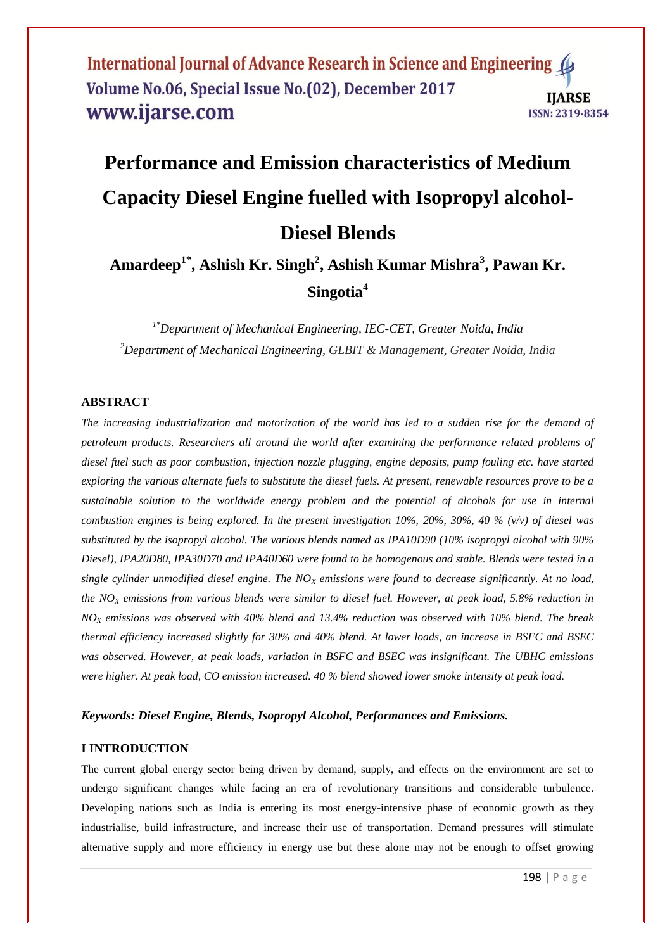# **Performance and Emission characteristics of Medium Capacity Diesel Engine fuelled with Isopropyl alcohol-Diesel Blends**

# **Amardeep1\* , Ashish Kr. Singh<sup>2</sup> , Ashish Kumar Mishra<sup>3</sup> , Pawan Kr. Singotia<sup>4</sup>**

*1\*Department of Mechanical Engineering, IEC-CET, Greater Noida, India <sup>2</sup>Department of Mechanical Engineering, GLBIT & Management, Greater Noida, India*

# **ABSTRACT**

*The increasing industrialization and motorization of the world has led to a sudden rise for the demand of petroleum products. Researchers all around the world after examining the performance related problems of diesel fuel such as poor combustion, injection nozzle plugging, engine deposits, pump fouling etc. have started exploring the various alternate fuels to substitute the diesel fuels. At present, renewable resources prove to be a sustainable solution to the worldwide energy problem and the potential of alcohols for use in internal combustion engines is being explored. In the present investigation 10%, 20%, 30%, 40 % (v/v) of diesel was substituted by the isopropyl alcohol. The various blends named as IPA10D90 (10% isopropyl alcohol with 90% Diesel), IPA20D80, IPA30D70 and IPA40D60 were found to be homogenous and stable. Blends were tested in a single cylinder unmodified diesel engine. The NO<sup>X</sup> emissions were found to decrease significantly. At no load, the NO<sup>X</sup> emissions from various blends were similar to diesel fuel. However, at peak load, 5.8% reduction in NO<sup>X</sup> emissions was observed with 40% blend and 13.4% reduction was observed with 10% blend. The break thermal efficiency increased slightly for 30% and 40% blend. At lower loads, an increase in BSFC and BSEC was observed. However, at peak loads, variation in BSFC and BSEC was insignificant. The UBHC emissions were higher. At peak load, CO emission increased. 40 % blend showed lower smoke intensity at peak load.*

# *Keywords: Diesel Engine, Blends, Isopropyl Alcohol, Performances and Emissions.*

#### **I INTRODUCTION**

The current global energy sector being driven by demand, supply, and effects on the environment are set to undergo significant changes while facing an era of revolutionary transitions and considerable turbulence. Developing nations such as India is entering its most energy-intensive phase of economic growth as they industrialise, build infrastructure, and increase their use of transportation. Demand pressures will stimulate alternative supply and more efficiency in energy use but these alone may not be enough to offset growing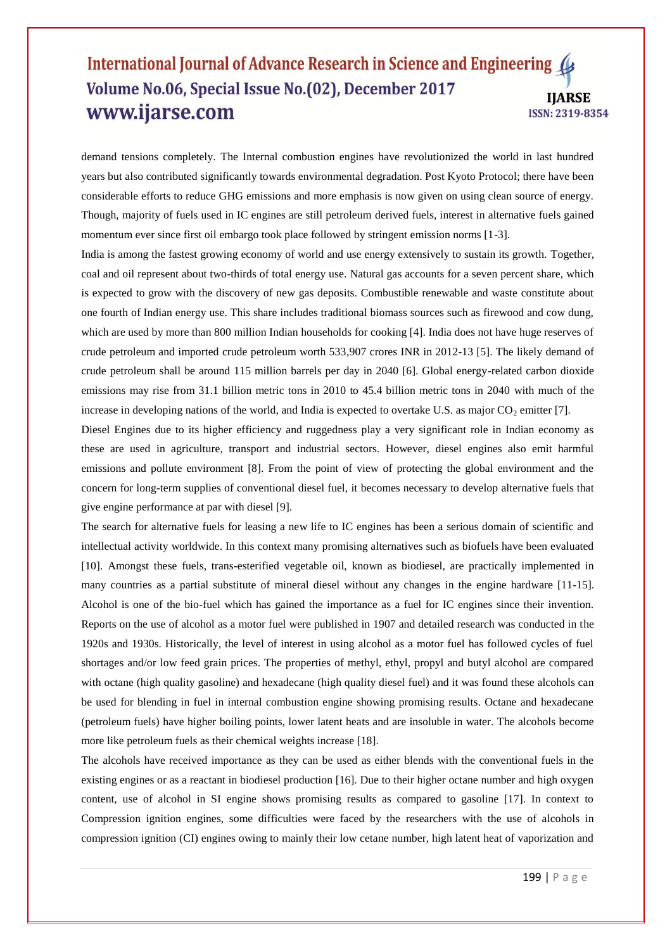demand tensions completely. The Internal combustion engines have revolutionized the world in last hundred years but also contributed significantly towards environmental degradation. Post Kyoto Protocol; there have been considerable efforts to reduce GHG emissions and more emphasis is now given on using clean source of energy. Though, majority of fuels used in IC engines are still petroleum derived fuels, interest in alternative fuels gained momentum ever since first oil embargo took place followed by stringent emission norms [1-3].

India is among the fastest growing economy of world and use energy extensively to sustain its growth. Together, coal and oil represent about two-thirds of total energy use. Natural gas accounts for a seven percent share, which is expected to grow with the discovery of new gas deposits. Combustible renewable and waste constitute about one fourth of Indian energy use. This share includes traditional biomass sources such as firewood and cow dung, which are used by more than 800 million Indian households for cooking [4]. India does not have huge reserves of crude petroleum and imported crude petroleum worth 533,907 crores INR in 2012-13 [5]. The likely demand of crude petroleum shall be around 115 million barrels per day in 2040 [6]. Global energy-related carbon dioxide emissions may rise from 31.1 billion metric tons in 2010 to 45.4 billion metric tons in 2040 with much of the increase in developing nations of the world, and India is expected to overtake U.S. as major  $CO_2$  emitter [7].

Diesel Engines due to its higher efficiency and ruggedness play a very significant role in Indian economy as these are used in agriculture, transport and industrial sectors. However, diesel engines also emit harmful emissions and pollute environment [8]. From the point of view of protecting the global environment and the concern for long-term supplies of conventional diesel fuel, it becomes necessary to develop alternative fuels that give engine performance at par with diesel [9].

The search for alternative fuels for leasing a new life to IC engines has been a serious domain of scientific and intellectual activity worldwide. In this context many promising alternatives such as biofuels have been evaluated [10]. Amongst these fuels, trans-esterified vegetable oil, known as biodiesel, are practically implemented in many countries as a partial substitute of mineral diesel without any changes in the engine hardware [11-15]. Alcohol is one of the bio-fuel which has gained the importance as a fuel for IC engines since their invention. Reports on the use of alcohol as a motor fuel were published in 1907 and detailed research was conducted in the 1920s and 1930s. Historically, the level of interest in using alcohol as a motor fuel has followed cycles of fuel shortages and/or low feed grain prices. The properties of methyl, ethyl, propyl and butyl alcohol are compared with octane (high quality gasoline) and hexadecane (high quality diesel fuel) and it was found these alcohols can be used for blending in fuel in internal combustion engine showing promising results. Octane and hexadecane (petroleum fuels) have higher boiling points, lower latent heats and are insoluble in water. The alcohols become more like petroleum fuels as their chemical weights increase [18].

The alcohols have received importance as they can be used as either blends with the conventional fuels in the existing engines or as a reactant in biodiesel production [16]. Due to their higher octane number and high oxygen content, use of alcohol in SI engine shows promising results as compared to gasoline [17]. In context to Compression ignition engines, some difficulties were faced by the researchers with the use of alcohols in compression ignition (CI) engines owing to mainly their low cetane number, high latent heat of vaporization and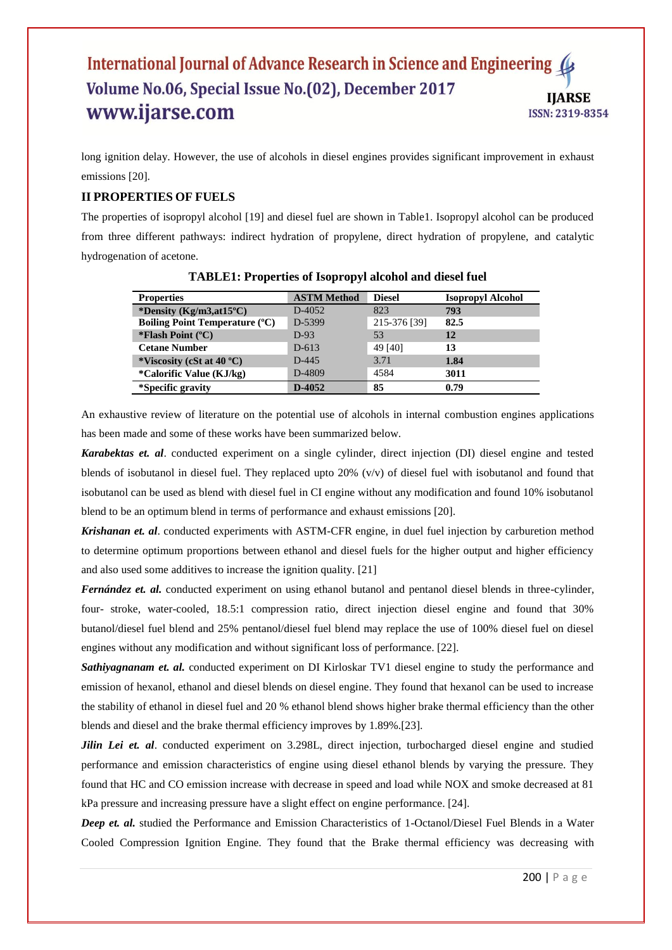long ignition delay. However, the use of alcohols in diesel engines provides significant improvement in exhaust emissions [20].

# **II PROPERTIES OF FUELS**

The properties of isopropyl alcohol [19] and diesel fuel are shown in Table1. Isopropyl alcohol can be produced from three different pathways: indirect hydration of propylene, direct hydration of propylene, and catalytic hydrogenation of acetone.

| <b>Properties</b>                     | <b>ASTM Method</b> | <b>Diesel</b> | <b>Isopropyl Alcohol</b> |
|---------------------------------------|--------------------|---------------|--------------------------|
| *Density (Kg/m3,at15°C)               | $D-4052$           | 823           | 793                      |
| <b>Boiling Point Temperature (°C)</b> | D-5399             | 215-376 [39]  | 82.5                     |
| *Flash Point $(^{\circ}C)$            | $D-93$             | 53            | 12                       |
| <b>Cetane Number</b>                  | $D - 613$          | 49 [40]       | 13                       |
| *Viscosity (cSt at 40 $^{\circ}$ C)   | $D-445$            | 3.71          | 1.84                     |
| <i>*Calorific Value (KJ/kg)</i>       | D-4809             | 4584          | 3011                     |
| *Specific gravity                     | D-4052             | 85            | 0.79                     |

**TABLE1: Properties of Isopropyl alcohol and diesel fuel**

An exhaustive review of literature on the potential use of alcohols in internal combustion engines applications has been made and some of these works have been summarized below.

*Karabektas et. al*. conducted experiment on a single cylinder, direct injection (DI) diesel engine and tested blends of isobutanol in diesel fuel. They replaced upto 20% (v/v) of diesel fuel with isobutanol and found that isobutanol can be used as blend with diesel fuel in CI engine without any modification and found 10% isobutanol blend to be an optimum blend in terms of performance and exhaust emissions [20].

*Krishanan et. al*. conducted experiments with ASTM-CFR engine, in duel fuel injection by carburetion method to determine optimum proportions between ethanol and diesel fuels for the higher output and higher efficiency and also used some additives to increase the ignition quality. [21]

*Fernández et. al.* conducted experiment on using ethanol butanol and pentanol diesel blends in three-cylinder, four- stroke, water-cooled, 18.5:1 compression ratio, direct injection diesel engine and found that 30% butanol/diesel fuel blend and 25% pentanol/diesel fuel blend may replace the use of 100% diesel fuel on diesel engines without any modification and without significant loss of performance. [22].

**Sathiyagnanam et. al.** conducted experiment on DI Kirloskar TV1 diesel engine to study the performance and emission of hexanol, ethanol and diesel blends on diesel engine. They found that hexanol can be used to increase the stability of ethanol in diesel fuel and 20 % ethanol blend shows higher brake thermal efficiency than the other blends and diesel and the brake thermal efficiency improves by 1.89%.[23].

*Jilin Lei et. al.* conducted experiment on 3.298L, direct injection, turbocharged diesel engine and studied performance and emission characteristics of engine using diesel ethanol blends by varying the pressure. They found that HC and CO emission increase with decrease in speed and load while NOX and smoke decreased at 81 kPa pressure and increasing pressure have a slight effect on engine performance. [24].

*Deep et. al.* studied the Performance and Emission Characteristics of 1-Octanol/Diesel Fuel Blends in a Water Cooled Compression Ignition Engine. They found that the Brake thermal efficiency was decreasing with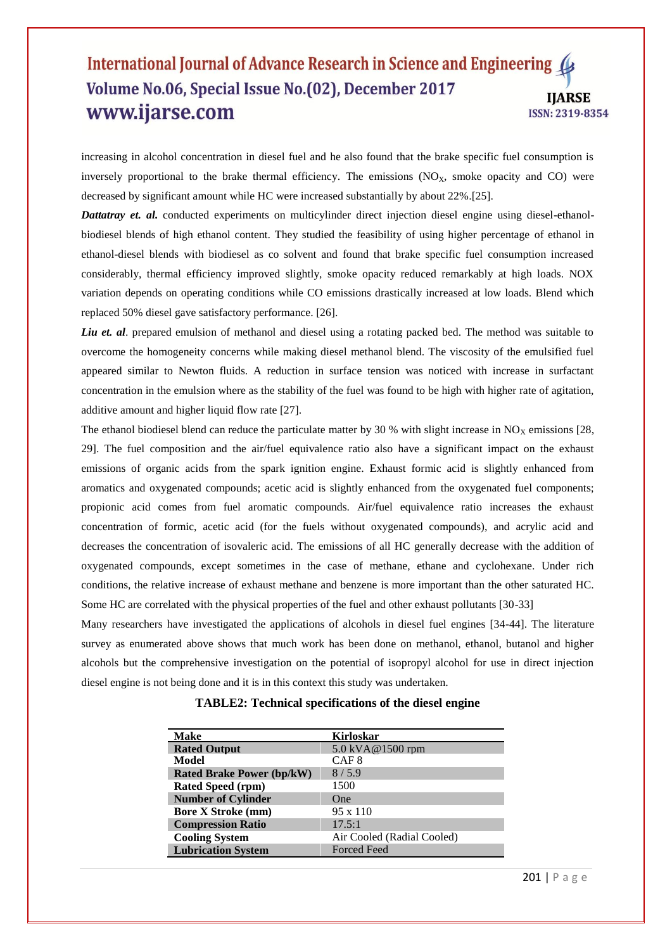increasing in alcohol concentration in diesel fuel and he also found that the brake specific fuel consumption is inversely proportional to the brake thermal efficiency. The emissions  $(NO<sub>x</sub>,$  smoke opacity and CO) were decreased by significant amount while HC were increased substantially by about 22%.[25].

*Dattatray et. al.* conducted experiments on multicylinder direct injection diesel engine using diesel-ethanolbiodiesel blends of high ethanol content. They studied the feasibility of using higher percentage of ethanol in ethanol-diesel blends with biodiesel as co solvent and found that brake specific fuel consumption increased considerably, thermal efficiency improved slightly, smoke opacity reduced remarkably at high loads. NOX variation depends on operating conditions while CO emissions drastically increased at low loads. Blend which replaced 50% diesel gave satisfactory performance. [26].

*Liu et. al.* prepared emulsion of methanol and diesel using a rotating packed bed. The method was suitable to overcome the homogeneity concerns while making diesel methanol blend. The viscosity of the emulsified fuel appeared similar to Newton fluids. A reduction in surface tension was noticed with increase in surfactant concentration in the emulsion where as the stability of the fuel was found to be high with higher rate of agitation, additive amount and higher liquid flow rate [27].

The ethanol biodiesel blend can reduce the particulate matter by 30 % with slight increase in  $NO<sub>x</sub>$  emissions [28, 29]. The fuel composition and the air/fuel equivalence ratio also have a significant impact on the exhaust emissions of organic acids from the spark ignition engine. Exhaust formic acid is slightly enhanced from aromatics and oxygenated compounds; acetic acid is slightly enhanced from the oxygenated fuel components; propionic acid comes from fuel aromatic compounds. Air/fuel equivalence ratio increases the exhaust concentration of formic, acetic acid (for the fuels without oxygenated compounds), and acrylic acid and decreases the concentration of isovaleric acid. The emissions of all HC generally decrease with the addition of oxygenated compounds, except sometimes in the case of methane, ethane and cyclohexane. Under rich conditions, the relative increase of exhaust methane and benzene is more important than the other saturated HC. Some HC are correlated with the physical properties of the fuel and other exhaust pollutants [30-33]

Many researchers have investigated the applications of alcohols in diesel fuel engines [34-44]. The literature survey as enumerated above shows that much work has been done on methanol, ethanol, butanol and higher alcohols but the comprehensive investigation on the potential of isopropyl alcohol for use in direct injection diesel engine is not being done and it is in this context this study was undertaken.

| <b>Make</b>                      | <b>Kirloskar</b>           |
|----------------------------------|----------------------------|
| <b>Rated Output</b>              | 5.0 kVA@1500 rpm           |
| Model                            | CAF 8                      |
| <b>Rated Brake Power (bp/kW)</b> | 8/5.9                      |
| <b>Rated Speed (rpm)</b>         | 1500                       |
| <b>Number of Cylinder</b>        | <b>One</b>                 |
| <b>Bore X Stroke (mm)</b>        | 95 x 110                   |
| <b>Compression Ratio</b>         | 17.5:1                     |
| <b>Cooling System</b>            | Air Cooled (Radial Cooled) |
| <b>Lubrication System</b>        | <b>Forced Feed</b>         |

# **TABLE2: Technical specifications of the diesel engine**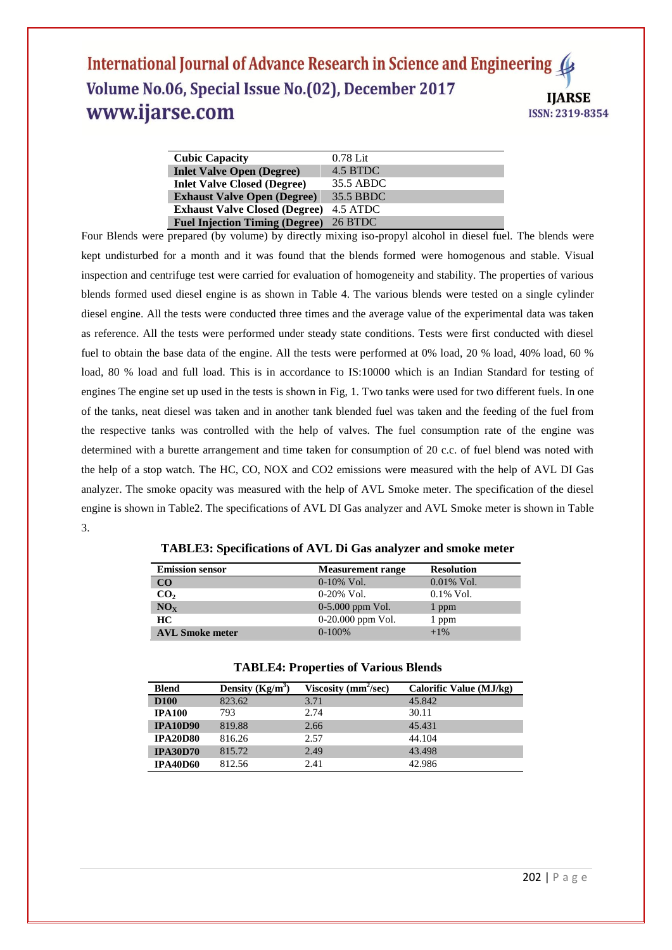| <b>Cubic Capacity</b>                 | $0.78$ Lit |
|---------------------------------------|------------|
| <b>Inlet Valve Open (Degree)</b>      | 4.5 BTDC   |
| <b>Inlet Valve Closed (Degree)</b>    | 35.5 ABDC  |
| <b>Exhaust Valve Open (Degree)</b>    | 35.5 BBDC  |
| <b>Exhaust Valve Closed (Degree)</b>  | 4.5 ATDC   |
| <b>Fuel Injection Timing (Degree)</b> | 26 BTDC    |

Four Blends were prepared (by volume) by directly mixing iso-propyl alcohol in diesel fuel. The blends were kept undisturbed for a month and it was found that the blends formed were homogenous and stable. Visual inspection and centrifuge test were carried for evaluation of homogeneity and stability. The properties of various blends formed used diesel engine is as shown in Table 4. The various blends were tested on a single cylinder diesel engine. All the tests were conducted three times and the average value of the experimental data was taken as reference. All the tests were performed under steady state conditions. Tests were first conducted with diesel fuel to obtain the base data of the engine. All the tests were performed at 0% load, 20 % load, 40% load, 60 % load, 80 % load and full load. This is in accordance to IS:10000 which is an Indian Standard for testing of engines The engine set up used in the tests is shown in Fig, 1. Two tanks were used for two different fuels. In one of the tanks, neat diesel was taken and in another tank blended fuel was taken and the feeding of the fuel from the respective tanks was controlled with the help of valves. The fuel consumption rate of the engine was determined with a burette arrangement and time taken for consumption of 20 c.c. of fuel blend was noted with the help of a stop watch. The HC, CO, NOX and CO2 emissions were measured with the help of AVL DI Gas analyzer. The smoke opacity was measured with the help of AVL Smoke meter. The specification of the diesel engine is shown in Table2. The specifications of AVL DI Gas analyzer and AVL Smoke meter is shown in Table 3.

**TABLE3: Specifications of AVL Di Gas analyzer and smoke meter**

| <b>Emission sensor</b> | <b>Measurement range</b> | <b>Resolution</b> |
|------------------------|--------------------------|-------------------|
| $\rm CO$               | $0-10\%$ Vol.            | $0.01\%$ Vol.     |
| CO <sub>2</sub>        | $0-20\%$ Vol.            | $0.1\%$ Vol.      |
| NO <sub>x</sub>        | $0-5.000$ ppm Vol.       | 1 ppm             |
| HC.                    | $0-20.000$ ppm Vol.      | 1 ppm             |
| <b>AVL Smoke meter</b> | $0-100%$                 | $+1\%$            |

|  | <b>TABLE4: Properties of Various Blends</b> |  |  |
|--|---------------------------------------------|--|--|
|--|---------------------------------------------|--|--|

| <b>Blend</b>    | Density $(Kg/m^3)$ | Viscosity ( $mm^2/sec$ ) | Calorific Value (MJ/kg) |
|-----------------|--------------------|--------------------------|-------------------------|
| <b>D100</b>     | 823.62             | 3.71                     | 45.842                  |
| <b>IPA100</b>   | 793                | 2.74                     | 30.11                   |
| <b>IPA10D90</b> | 819.88             | 2.66                     | 45.431                  |
| <b>IPA20D80</b> | 816.26             | 2.57                     | 44.104                  |
| <b>IPA30D70</b> | 815.72             | 2.49                     | 43.498                  |
| <b>IPA40D60</b> | 812.56             | 2.41                     | 42.986                  |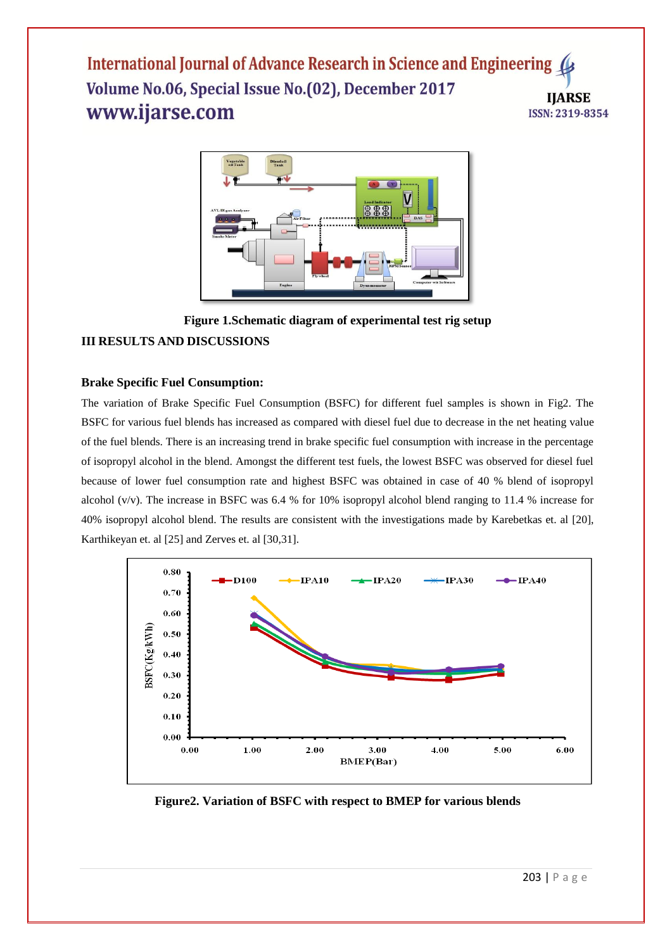

**Figure 1.Schematic diagram of experimental test rig setup**

# **III RESULTS AND DISCUSSIONS**

# **Brake Specific Fuel Consumption:**

The variation of Brake Specific Fuel Consumption (BSFC) for different fuel samples is shown in Fig2. The BSFC for various fuel blends has increased as compared with diesel fuel due to decrease in the net heating value of the fuel blends. There is an increasing trend in brake specific fuel consumption with increase in the percentage of isopropyl alcohol in the blend. Amongst the different test fuels, the lowest BSFC was observed for diesel fuel because of lower fuel consumption rate and highest BSFC was obtained in case of 40 % blend of isopropyl alcohol (v/v). The increase in BSFC was 6.4 % for 10% isopropyl alcohol blend ranging to 11.4 % increase for 40% isopropyl alcohol blend. The results are consistent with the investigations made by Karebetkas et. al [20], Karthikeyan et. al [25] and Zerves et. al [30,31].



**Figure2. Variation of BSFC with respect to BMEP for various blends**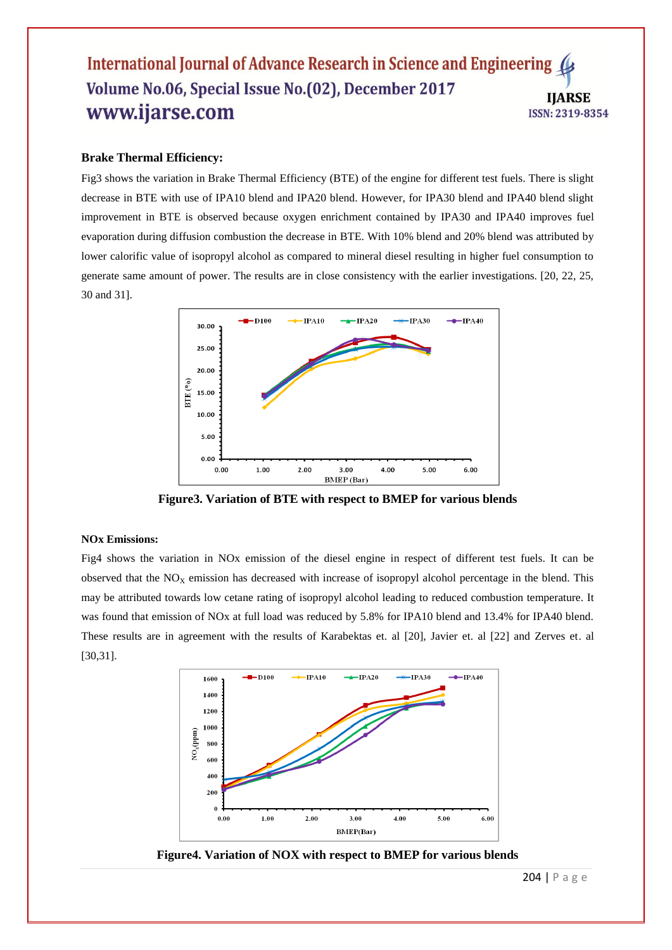#### **Brake Thermal Efficiency:**

Fig3 shows the variation in Brake Thermal Efficiency (BTE) of the engine for different test fuels. There is slight decrease in BTE with use of IPA10 blend and IPA20 blend. However, for IPA30 blend and IPA40 blend slight improvement in BTE is observed because oxygen enrichment contained by IPA30 and IPA40 improves fuel evaporation during diffusion combustion the decrease in BTE. With 10% blend and 20% blend was attributed by lower calorific value of isopropyl alcohol as compared to mineral diesel resulting in higher fuel consumption to generate same amount of power. The results are in close consistency with the earlier investigations. [20, 22, 25, 30 and 31].



**Figure3. Variation of BTE with respect to BMEP for various blends**

#### **NOx Emissions:**

Fig4 shows the variation in NOx emission of the diesel engine in respect of different test fuels. It can be observed that the  $NO<sub>X</sub>$  emission has decreased with increase of isopropyl alcohol percentage in the blend. This may be attributed towards low cetane rating of isopropyl alcohol leading to reduced combustion temperature. It was found that emission of NOx at full load was reduced by 5.8% for IPA10 blend and 13.4% for IPA40 blend. These results are in agreement with the results of Karabektas et. al [20], Javier et. al [22] and Zerves et. al [30,31].



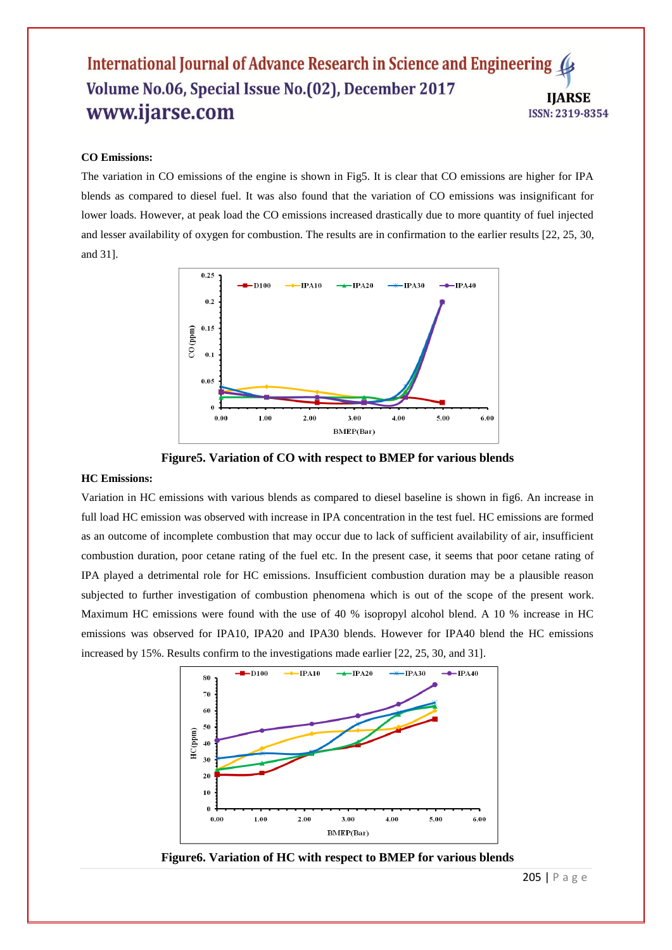#### **CO Emissions:**

The variation in CO emissions of the engine is shown in Fig5. It is clear that CO emissions are higher for IPA blends as compared to diesel fuel. It was also found that the variation of CO emissions was insignificant for lower loads. However, at peak load the CO emissions increased drastically due to more quantity of fuel injected and lesser availability of oxygen for combustion. The results are in confirmation to the earlier results [22, 25, 30, and 31].



**Figure5. Variation of CO with respect to BMEP for various blends**

#### **HC Emissions:**

Variation in HC emissions with various blends as compared to diesel baseline is shown in fig6. An increase in full load HC emission was observed with increase in IPA concentration in the test fuel. HC emissions are formed as an outcome of incomplete combustion that may occur due to lack of sufficient availability of air, insufficient combustion duration, poor cetane rating of the fuel etc. In the present case, it seems that poor cetane rating of IPA played a detrimental role for HC emissions. Insufficient combustion duration may be a plausible reason subjected to further investigation of combustion phenomena which is out of the scope of the present work. Maximum HC emissions were found with the use of 40 % isopropyl alcohol blend. A 10 % increase in HC emissions was observed for IPA10, IPA20 and IPA30 blends. However for IPA40 blend the HC emissions increased by 15%. Results confirm to the investigations made earlier [22, 25, 30, and 31].



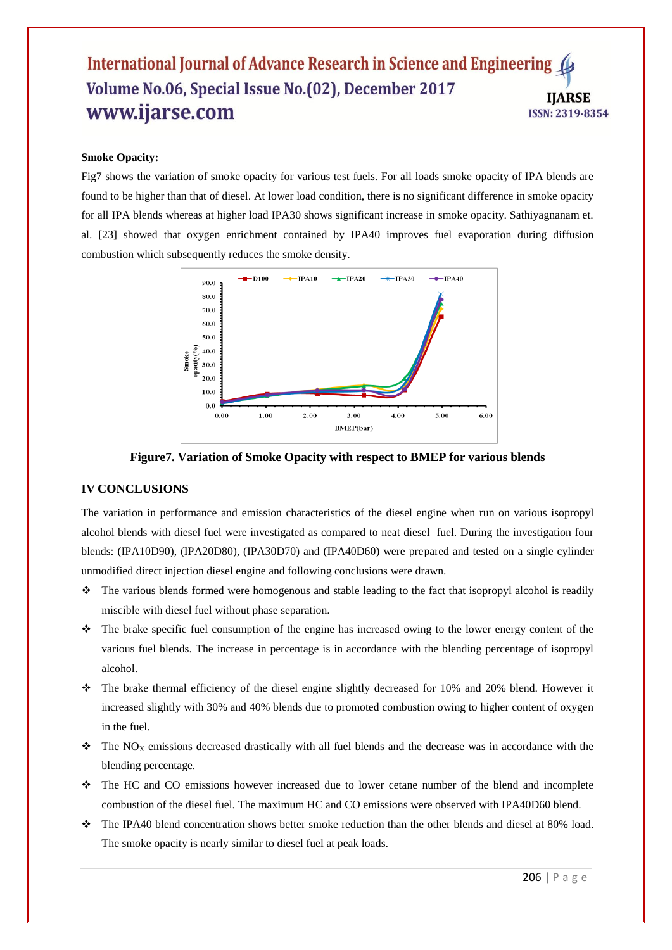#### **Smoke Opacity:**

Fig7 shows the variation of smoke opacity for various test fuels. For all loads smoke opacity of IPA blends are found to be higher than that of diesel. At lower load condition, there is no significant difference in smoke opacity for all IPA blends whereas at higher load IPA30 shows significant increase in smoke opacity. Sathiyagnanam et. al. [23] showed that oxygen enrichment contained by IPA40 improves fuel evaporation during diffusion combustion which subsequently reduces the smoke density.



**Figure7. Variation of Smoke Opacity with respect to BMEP for various blends**

# **IV CONCLUSIONS**

The variation in performance and emission characteristics of the diesel engine when run on various isopropyl alcohol blends with diesel fuel were investigated as compared to neat diesel fuel. During the investigation four blends: (IPA10D90), (IPA20D80), (IPA30D70) and (IPA40D60) were prepared and tested on a single cylinder unmodified direct injection diesel engine and following conclusions were drawn.

- $\hat{\cdot}$  The various blends formed were homogenous and stable leading to the fact that isopropyl alcohol is readily miscible with diesel fuel without phase separation.
- The brake specific fuel consumption of the engine has increased owing to the lower energy content of the various fuel blends. The increase in percentage is in accordance with the blending percentage of isopropyl alcohol.
- \* The brake thermal efficiency of the diesel engine slightly decreased for 10% and 20% blend. However it increased slightly with 30% and 40% blends due to promoted combustion owing to higher content of oxygen in the fuel.
- $\hat{\mathbf{v}}$  The NO<sub>X</sub> emissions decreased drastically with all fuel blends and the decrease was in accordance with the blending percentage.
- The HC and CO emissions however increased due to lower cetane number of the blend and incomplete combustion of the diesel fuel. The maximum HC and CO emissions were observed with IPA40D60 blend.
- The IPA40 blend concentration shows better smoke reduction than the other blends and diesel at 80% load. The smoke opacity is nearly similar to diesel fuel at peak loads.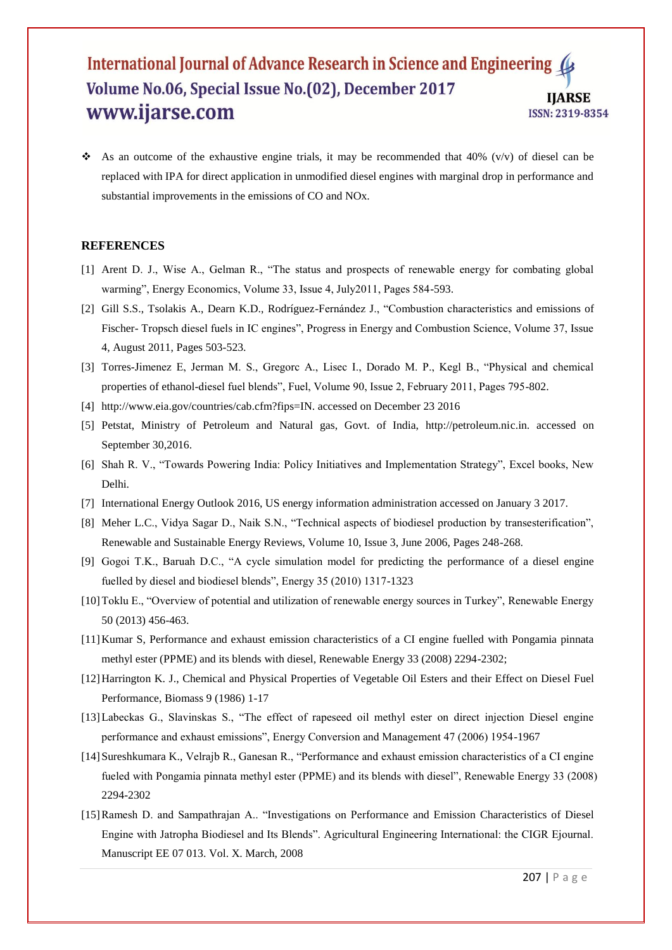As an outcome of the exhaustive engine trials, it may be recommended that 40% (v/v) of diesel can be replaced with IPA for direct application in unmodified diesel engines with marginal drop in performance and substantial improvements in the emissions of CO and NOx.

#### **REFERENCES**

- [1] Arent D. J., Wise A., Gelman R., "The status and prospects of renewable energy for combating global warming", Energy Economics, Volume 33, Issue 4, July2011, Pages 584-593.
- [2] Gill S.S., Tsolakis A., Dearn K.D., Rodríguez-Fernández J., "Combustion characteristics and emissions of Fischer- Tropsch diesel fuels in IC engines", Progress in Energy and Combustion Science, Volume 37, Issue 4, August 2011, Pages 503-523.
- [3] Torres-Jimenez E, Jerman M. S., Gregorc A., Lisec I., Dorado M. P., Kegl B., "Physical and chemical properties of ethanol-diesel fuel blends", Fuel, Volume 90, Issue 2, February 2011, Pages 795-802.
- [4] http://www.eia.gov/countries/cab.cfm?fips=IN. accessed on December 23 2016
- [5] Petstat, Ministry of Petroleum and Natural gas, Govt. of India, http://petroleum.nic.in. accessed on September 30,2016.
- [6] Shah R. V., "Towards Powering India: Policy Initiatives and Implementation Strategy", Excel books, New Delhi.
- [7] International Energy Outlook 2016, US energy information administration accessed on January 3 2017.
- [8] Meher L.C., Vidya Sagar D., Naik S.N., "Technical aspects of biodiesel production by transesterification", Renewable and Sustainable Energy Reviews, Volume 10, Issue 3, June 2006, Pages 248-268.
- [9] Gogoi T.K., Baruah D.C., "A cycle simulation model for predicting the performance of a diesel engine fuelled by diesel and biodiesel blends", Energy 35 (2010) 1317-1323
- [10]Toklu E., "Overview of potential and utilization of renewable energy sources in Turkey", Renewable Energy 50 (2013) 456-463.
- [11]Kumar S, Performance and exhaust emission characteristics of a CI engine fuelled with Pongamia pinnata methyl ester (PPME) and its blends with diesel, Renewable Energy 33 (2008) 2294-2302;
- [12]Harrington K. J., Chemical and Physical Properties of Vegetable Oil Esters and their Effect on Diesel Fuel Performance, Biomass 9 (1986) 1-17
- [13]Labeckas G., Slavinskas S., "The effect of rapeseed oil methyl ester on direct injection Diesel engine performance and exhaust emissions", Energy Conversion and Management 47 (2006) 1954-1967
- [14]Sureshkumara K., Velrajb R., Ganesan R., "Performance and exhaust emission characteristics of a CI engine fueled with Pongamia pinnata methyl ester (PPME) and its blends with diesel", Renewable Energy 33 (2008) 2294-2302
- [15]Ramesh D. and Sampathrajan A.. "Investigations on Performance and Emission Characteristics of Diesel Engine with Jatropha Biodiesel and Its Blends". Agricultural Engineering International: the CIGR Ejournal. Manuscript EE 07 013. Vol. X. March, 2008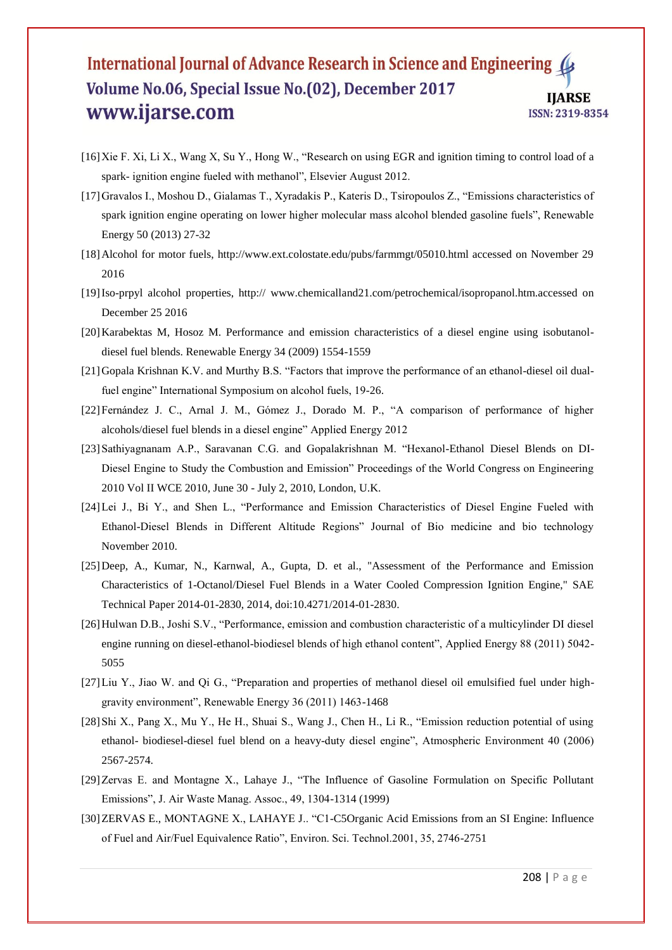- [16]Xie F. Xi, Li X., Wang X, Su Y., Hong W., "Research on using EGR and ignition timing to control load of a spark- ignition engine fueled with methanol", Elsevier August 2012.
- [17]Gravalos I., Moshou D., Gialamas T., Xyradakis P., Kateris D., Tsiropoulos Z., "Emissions characteristics of spark ignition engine operating on lower higher molecular mass alcohol blended gasoline fuels", Renewable Energy 50 (2013) 27-32
- [18]Alcohol for motor fuels, http://www.ext.colostate.edu/pubs/farmmgt/05010.html accessed on November 29 2016
- [19]Iso-prpyl alcohol properties, http:// www.chemicalland21.com/petrochemical/isopropanol.htm.accessed on December 25 2016
- [20]Karabektas M, Hosoz M. Performance and emission characteristics of a diesel engine using isobutanoldiesel fuel blends. Renewable Energy 34 (2009) 1554-1559
- [21]Gopala Krishnan K.V. and Murthy B.S. "Factors that improve the performance of an ethanol-diesel oil dualfuel engine" International Symposium on alcohol fuels, 19-26.
- [22]Fernández J. C., Arnal J. M., Gómez J., Dorado M. P., "A comparison of performance of higher alcohols/diesel fuel blends in a diesel engine" Applied Energy 2012
- [23] Sathiyagnanam A.P., Saravanan C.G. and Gopalakrishnan M. "Hexanol-Ethanol Diesel Blends on DI-Diesel Engine to Study the Combustion and Emission" Proceedings of the World Congress on Engineering 2010 Vol II WCE 2010, June 30 - July 2, 2010, London, U.K.
- [24]Lei J., Bi Y., and Shen L., "Performance and Emission Characteristics of Diesel Engine Fueled with Ethanol-Diesel Blends in Different Altitude Regions" Journal of Bio medicine and bio technology November 2010.
- [25]Deep, A., Kumar, N., Karnwal, A., Gupta, D. et al., "Assessment of the Performance and Emission Characteristics of 1-Octanol/Diesel Fuel Blends in a Water Cooled Compression Ignition Engine," SAE Technical Paper 2014-01-2830, 2014, doi:10.4271/2014-01-2830.
- [26]Hulwan D.B., Joshi S.V., "Performance, emission and combustion characteristic of a multicylinder DI diesel engine running on diesel-ethanol-biodiesel blends of high ethanol content", Applied Energy 88 (2011) 5042- 5055
- [27]Liu Y., Jiao W. and Qi G., "Preparation and properties of methanol diesel oil emulsified fuel under highgravity environment", Renewable Energy 36 (2011) 1463-1468
- [28]Shi X., Pang X., Mu Y., He H., Shuai S., Wang J., Chen H., Li R., "Emission reduction potential of using ethanol- biodiesel-diesel fuel blend on a heavy-duty diesel engine", Atmospheric Environment 40 (2006) 2567-2574.
- [29]Zervas E. and Montagne X., Lahaye J., "The Influence of Gasoline Formulation on Specific Pollutant Emissions", J. Air Waste Manag. Assoc., 49, 1304-1314 (1999)
- [30]ZERVAS E., MONTAGNE X., LAHAYE J.. "C1-C5Organic Acid Emissions from an SI Engine: Influence of Fuel and Air/Fuel Equivalence Ratio", Environ. Sci. Technol.2001, 35, 2746-2751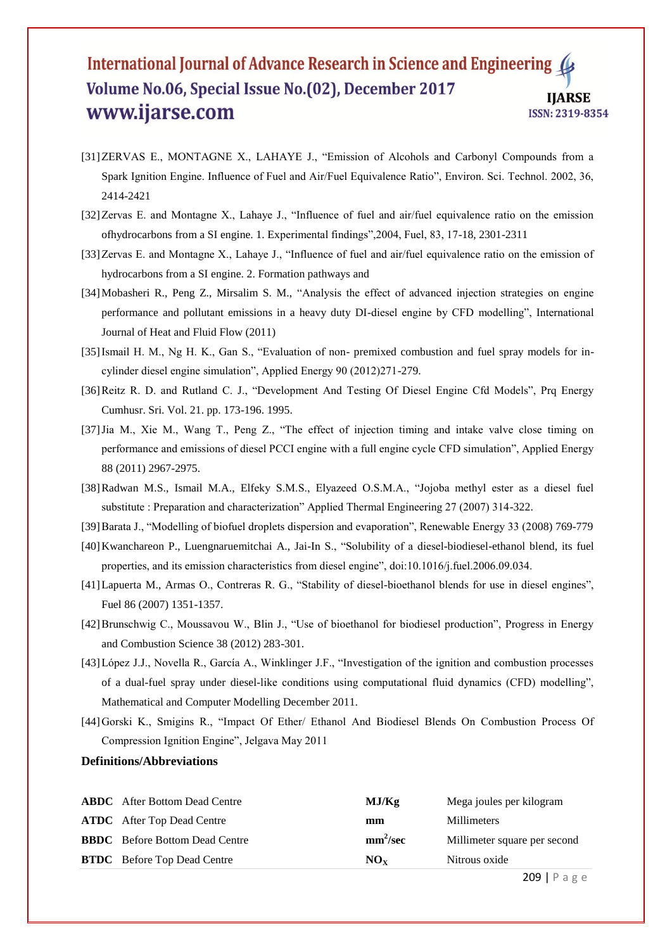- [31]ZERVAS E., MONTAGNE X., LAHAYE J., "Emission of Alcohols and Carbonyl Compounds from a Spark Ignition Engine. Influence of Fuel and Air/Fuel Equivalence Ratio", Environ. Sci. Technol. 2002, 36, 2414-2421
- [32]Zervas E. and Montagne X., Lahaye J., "Influence of fuel and air/fuel equivalence ratio on the emission ofhydrocarbons from a SI engine. 1. Experimental findings",2004, Fuel, 83, 17-18, 2301-2311
- [33]Zervas E. and Montagne X., Lahaye J., "Influence of fuel and air/fuel equivalence ratio on the emission of hydrocarbons from a SI engine. 2. Formation pathways and
- [34]Mobasheri R., Peng Z., Mirsalim S. M., "Analysis the effect of advanced injection strategies on engine performance and pollutant emissions in a heavy duty DI-diesel engine by CFD modelling", International Journal of Heat and Fluid Flow (2011)
- [35]Ismail H. M., Ng H. K., Gan S., "Evaluation of non- premixed combustion and fuel spray models for incylinder diesel engine simulation", Applied Energy 90 (2012)271-279.
- [36]Reitz R. D. and Rutland C. J., "Development And Testing Of Diesel Engine Cfd Models", Prq Energy Cumhusr. Sri. Vol. 21. pp. 173-196. 1995.
- [37]Jia M., Xie M., Wang T., Peng Z., "The effect of injection timing and intake valve close timing on performance and emissions of diesel PCCI engine with a full engine cycle CFD simulation", Applied Energy 88 (2011) 2967-2975.
- [38]Radwan M.S., Ismail M.A., Elfeky S.M.S., Elyazeed O.S.M.A., "Jojoba methyl ester as a diesel fuel substitute : Preparation and characterization" Applied Thermal Engineering 27 (2007) 314-322.
- [39]Barata J., "Modelling of biofuel droplets dispersion and evaporation", Renewable Energy 33 (2008) 769-779
- [40]Kwanchareon P., Luengnaruemitchai A., Jai-In S., "Solubility of a diesel-biodiesel-ethanol blend, its fuel properties, and its emission characteristics from diesel engine", doi:10.1016/j.fuel.2006.09.034.
- [41]Lapuerta M., Armas O., Contreras R. G., "Stability of diesel-bioethanol blends for use in diesel engines", Fuel 86 (2007) 1351-1357.
- [42]Brunschwig C., Moussavou W., Blin J., "Use of bioethanol for biodiesel production", Progress in Energy and Combustion Science 38 (2012) 283-301.
- [43]López J.J., Novella R., García A., Winklinger J.F., "Investigation of the ignition and combustion processes of a dual-fuel spray under diesel-like conditions using computational fluid dynamics (CFD) modelling", Mathematical and Computer Modelling December 2011.
- [44]Gorski K., Smigins R., "Impact Of Ether/ Ethanol And Biodiesel Blends On Combustion Process Of Compression Ignition Engine", Jelgava May 2011

# **Definitions/Abbreviations**

| <b>BTDC</b> Before Top Dead Centre    | $NO_{Y}$             | Nitrous oxide                |
|---------------------------------------|----------------------|------------------------------|
| <b>BBDC</b> Before Bottom Dead Centre | mm <sup>2</sup> /sec | Millimeter square per second |
| <b>ATDC</b> After Top Dead Centre     | mm                   | <b>Millimeters</b>           |
| <b>ABDC</b> After Bottom Dead Centre  | MJ/Kg                | Mega joules per kilogram     |